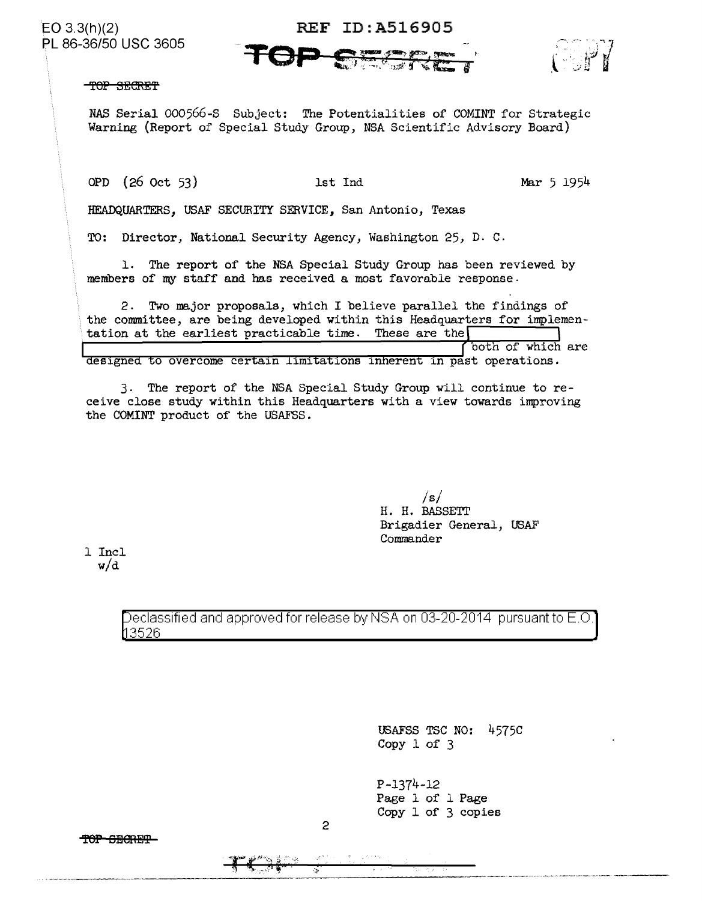PL 86-36/50 USC 3605

## EO 3.3(h)(2) REF ID: A516905



TOP SECRET

*NAS* Serial 000566-S Subject: The Potentialities of COMINT for Strategic Warning (Report of Special Study Group, NSA Scientific Advisory Board)

OPD (26 Oct 53) 1st Ind Mar 5 1954

HEADQUARTERS, USAF SECURITY SERVICE, San Antonio, Texas

TO: Director, National Security Agency, Washington 25, D. c.

1. The report of the NSA Special Study Group has been reviewed by members of my staff and has received a most favorable response.

2. Two major proposals, which I believe parallel the findings of the committee, are being developed within this Headquarters for implementation at the earliest practicable time. These are the both of which are designed to overcome certain limitations inherent in past operations.

3. The report of the NSA Special Study Group will continue to receive close study within this Headquarters with a view towards improving the COMINT product of the USAFSS.

> */s/*  H. H. BASSETT Brigadier General, USAF Commander

1 Incl w/d

> Declassified and approved for release by NSA on 03-20-2014 pursuant to E.O. 3526

> > USAFSS TSC NO: 4575C Copy 1 of 3

P-1374-12 Page 1 of l Page Copy 1 of 3 copies

TOP SBORET

2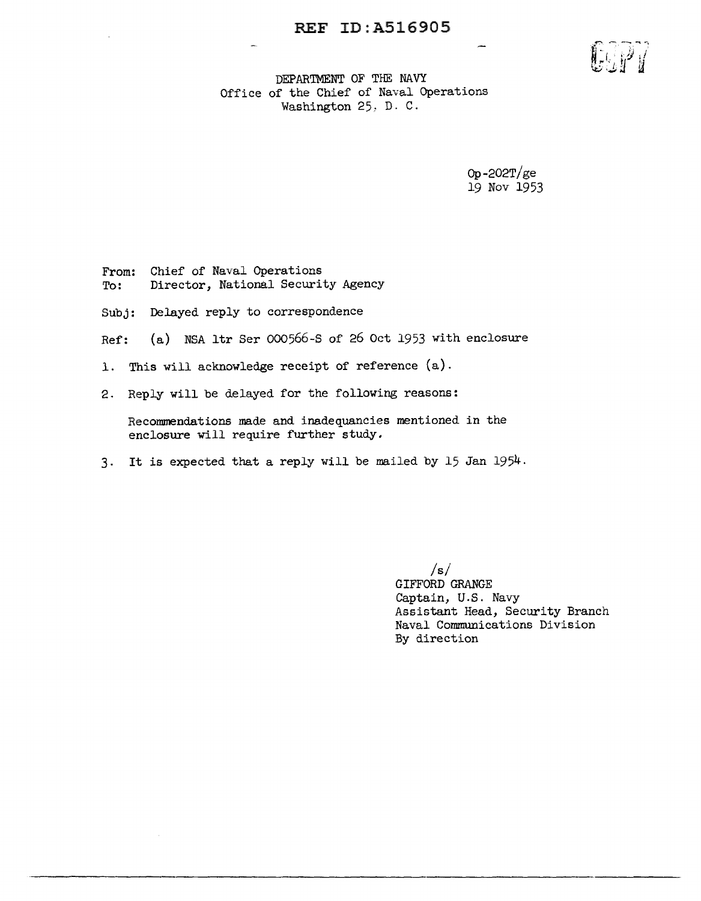

DEPARTMENT OF THE NAVY Office of the Chief of Naval Operations Washington 25: D. C.

> Op-202T/ge 19 Nov 1953

From: Chief of Naval Operations To: Director, National Security Agency

Subj: Delayed reply to correspondence

Ref: (a) NSA ltr Ser 000566-S of 26 Oct 1953 with enclosure

- 1. This will acknowledge receipt of reference (a).
- 2. Reply will be delayed for the following reasons:

Recommendations made and inadequancies mentioned in the enclosure will require further study.

3. It is expected that a reply will be mailed by 15 Jan 1954.

 $/s/$ GIFFORD GRANGE Captain, U.S. Navy Assistant Head, Security Branch Naval Communications Division By direction